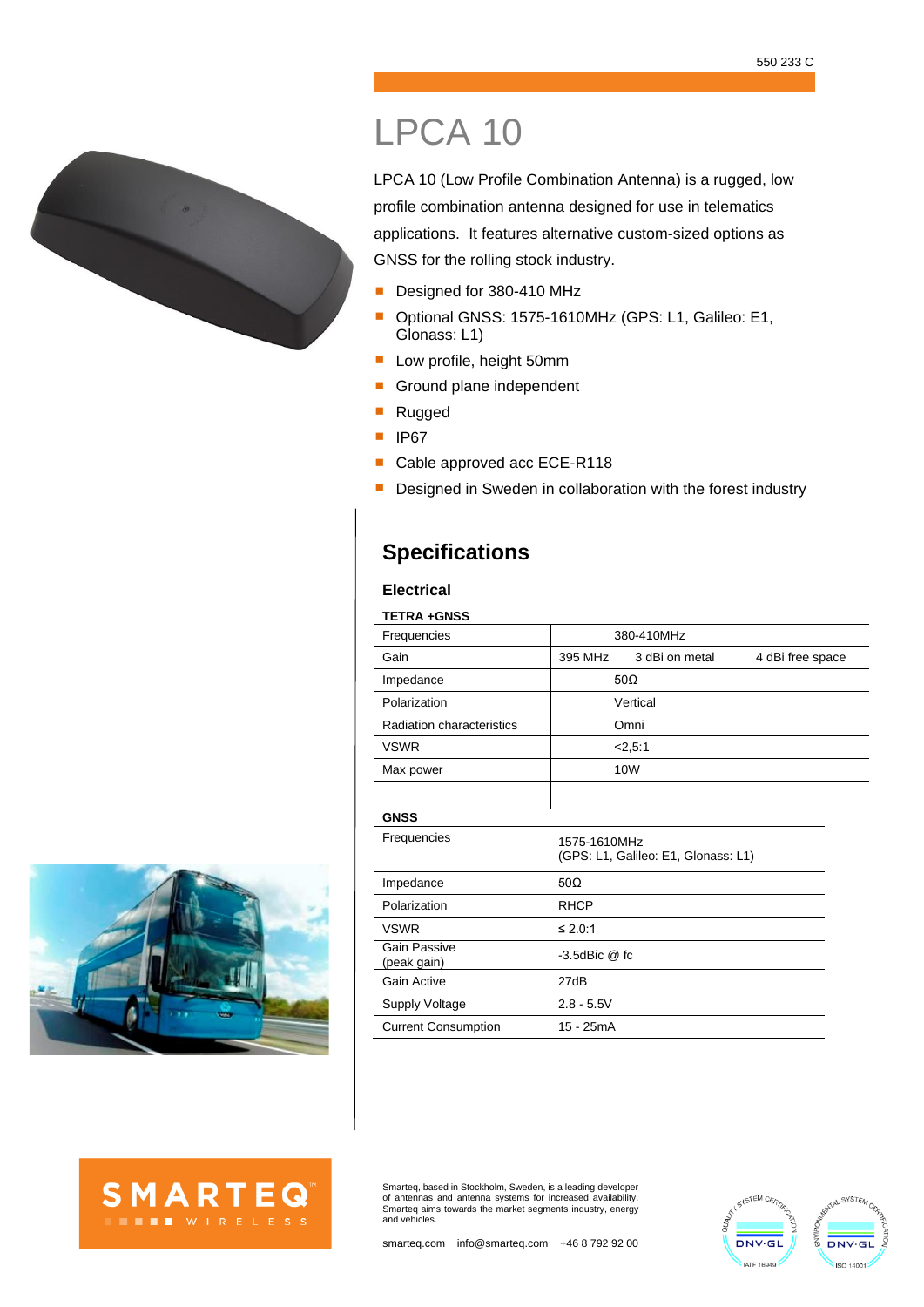



## LPCA 10

LPCA 10 (Low Profile Combination Antenna) is a rugged, low profile combination antenna designed for use in telematics applications. It features alternative custom-sized options as GNSS for the rolling stock industry.

- Designed for 380-410 MHz
- Optional GNSS: 1575-1610MHz (GPS: L1, Galileo: E1, Glonass: L1)
- Low profile, height 50mm
- Ground plane independent
- Rugged
- IP67
- Cable approved acc ECE-R118
- **E** Designed in Sweden in collaboration with the forest industry

## **Specifications**

## **Electrical**

| <b>TETRA +GNSS</b>          |                    |                                     |                  |
|-----------------------------|--------------------|-------------------------------------|------------------|
| Frequencies                 | 380-410MHz         |                                     |                  |
| Gain                        | 395 MHz            | 3 dBi on metal                      | 4 dBi free space |
| Impedance                   |                    | $50\Omega$                          |                  |
| Polarization                |                    | Vertical                            |                  |
| Radiation characteristics   | Omni               |                                     |                  |
| <b>VSWR</b>                 |                    | 2,5:1                               |                  |
| Max power                   |                    | 10W                                 |                  |
|                             |                    |                                     |                  |
| <b>GNSS</b>                 |                    |                                     |                  |
| Frequencies                 | 1575-1610MHz       | (GPS: L1, Galileo: E1, Glonass: L1) |                  |
| Impedance                   | $50\Omega$         |                                     |                  |
| Polarization                | <b>RHCP</b>        |                                     |                  |
| <b>VSWR</b>                 | ≤ 2.0:1            |                                     |                  |
| Gain Passive<br>(peak gain) | $-3.5$ dBic $@$ fc |                                     |                  |
| Gain Active                 | 27dB               |                                     |                  |
| Supply Voltage              | $2.8 - 5.5V$       |                                     |                  |
| <b>Current Consumption</b>  | 15 - 25mA          |                                     |                  |





Smarteq, based in Stockholm, Sweden, is a leading developer of antennas and antenna systems for increased availability. Smarteq aims towards the market segments industry, energy and vehicles.